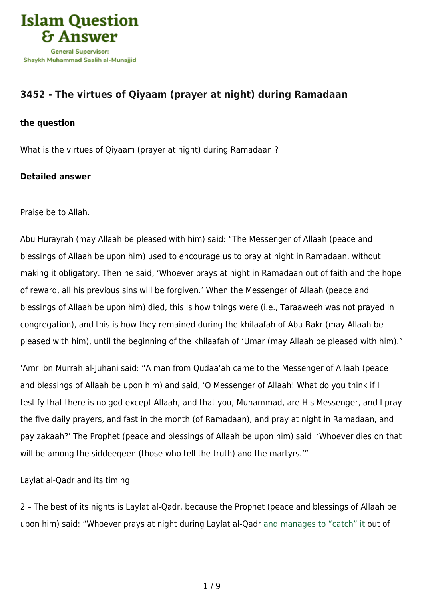

# **[3452 - The virtues of Qiyaam \(prayer at night\) during Ramadaan](https://islamqa.com/en/answers/3452/the-virtues-of-qiyaam-prayer-at-night-during-ramadaan)**

### **the question**

What is the virtues of Qiyaam (prayer at night) during Ramadaan ?

## **Detailed answer**

Praise be to Allah.

Abu Hurayrah (may Allaah be pleased with him) said: "The Messenger of Allaah (peace and blessings of Allaah be upon him) used to encourage us to pray at night in Ramadaan, without making it obligatory. Then he said, 'Whoever prays at night in Ramadaan out of faith and the hope of reward, all his previous sins will be forgiven.' When the Messenger of Allaah (peace and blessings of Allaah be upon him) died, this is how things were (i.e., Taraaweeh was not prayed in congregation), and this is how they remained during the khilaafah of Abu Bakr (may Allaah be pleased with him), until the beginning of the khilaafah of 'Umar (may Allaah be pleased with him)."

'Amr ibn Murrah al-Juhani said: "A man from Qudaa'ah came to the Messenger of Allaah (peace and blessings of Allaah be upon him) and said, 'O Messenger of Allaah! What do you think if I testify that there is no god except Allaah, and that you, Muhammad, are His Messenger, and I pray the five daily prayers, and fast in the month (of Ramadaan), and pray at night in Ramadaan, and pay zakaah?' The Prophet (peace and blessings of Allaah be upon him) said: 'Whoever dies on that will be among the siddeeqeen (those who tell the truth) and the martyrs.'"

Laylat al-Qadr and its timing

2 – The best of its nights is Laylat al-Qadr, because the Prophet (peace and blessings of Allaah be upon him) said: "Whoever prays at night during Laylat al-Qadr and manages to "catch" it out of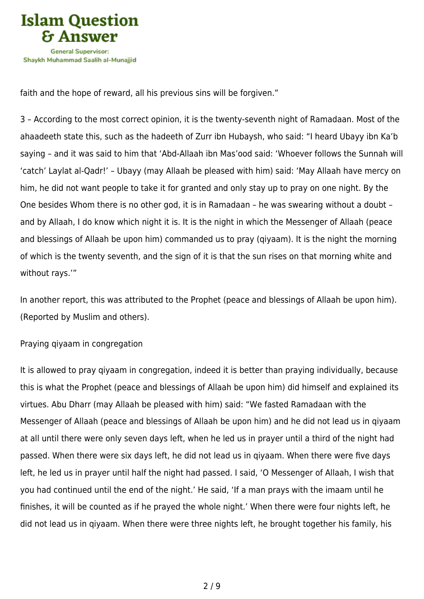

faith and the hope of reward, all his previous sins will be forgiven."

3 – According to the most correct opinion, it is the twenty-seventh night of Ramadaan. Most of the ahaadeeth state this, such as the hadeeth of Zurr ibn Hubaysh, who said: "I heard Ubayy ibn Ka'b saying – and it was said to him that 'Abd-Allaah ibn Mas'ood said: 'Whoever follows the Sunnah will 'catch' Laylat al-Qadr!' – Ubayy (may Allaah be pleased with him) said: 'May Allaah have mercy on him, he did not want people to take it for granted and only stay up to pray on one night. By the One besides Whom there is no other god, it is in Ramadaan – he was swearing without a doubt – and by Allaah, I do know which night it is. It is the night in which the Messenger of Allaah (peace and blessings of Allaah be upon him) commanded us to pray (qiyaam). It is the night the morning of which is the twenty seventh, and the sign of it is that the sun rises on that morning white and without rays.'"

In another report, this was attributed to the Prophet (peace and blessings of Allaah be upon him). (Reported by Muslim and others).

#### Praying qiyaam in congregation

It is allowed to pray qiyaam in congregation, indeed it is better than praying individually, because this is what the Prophet (peace and blessings of Allaah be upon him) did himself and explained its virtues. Abu Dharr (may Allaah be pleased with him) said: "We fasted Ramadaan with the Messenger of Allaah (peace and blessings of Allaah be upon him) and he did not lead us in qiyaam at all until there were only seven days left, when he led us in prayer until a third of the night had passed. When there were six days left, he did not lead us in qiyaam. When there were five days left, he led us in prayer until half the night had passed. I said, 'O Messenger of Allaah, I wish that you had continued until the end of the night.' He said, 'If a man prays with the imaam until he finishes, it will be counted as if he prayed the whole night.' When there were four nights left, he did not lead us in qiyaam. When there were three nights left, he brought together his family, his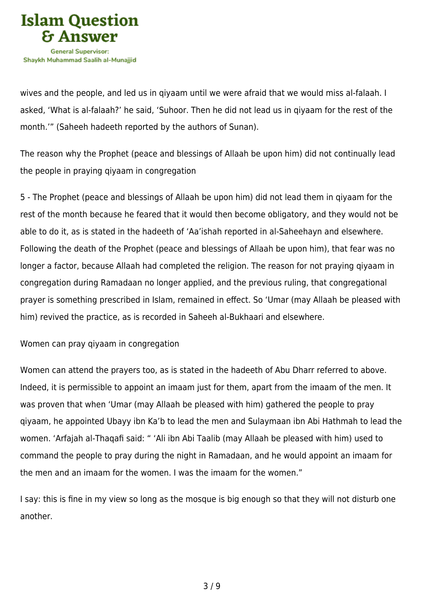

wives and the people, and led us in qiyaam until we were afraid that we would miss al-falaah. I asked, 'What is al-falaah?' he said, 'Suhoor. Then he did not lead us in qiyaam for the rest of the month.'" (Saheeh hadeeth reported by the authors of Sunan).

The reason why the Prophet (peace and blessings of Allaah be upon him) did not continually lead the people in praying qiyaam in congregation

5 - The Prophet (peace and blessings of Allaah be upon him) did not lead them in qiyaam for the rest of the month because he feared that it would then become obligatory, and they would not be able to do it, as is stated in the hadeeth of 'Aa'ishah reported in al-Saheehayn and elsewhere. Following the death of the Prophet (peace and blessings of Allaah be upon him), that fear was no longer a factor, because Allaah had completed the religion. The reason for not praying qiyaam in congregation during Ramadaan no longer applied, and the previous ruling, that congregational prayer is something prescribed in Islam, remained in effect. So 'Umar (may Allaah be pleased with him) revived the practice, as is recorded in Saheeh al-Bukhaari and elsewhere.

Women can pray qiyaam in congregation

Women can attend the prayers too, as is stated in the hadeeth of Abu Dharr referred to above. Indeed, it is permissible to appoint an imaam just for them, apart from the imaam of the men. It was proven that when 'Umar (may Allaah be pleased with him) gathered the people to pray qiyaam, he appointed Ubayy ibn Ka'b to lead the men and Sulaymaan ibn Abi Hathmah to lead the women. 'Arfajah al-Thaqafi said: " 'Ali ibn Abi Taalib (may Allaah be pleased with him) used to command the people to pray during the night in Ramadaan, and he would appoint an imaam for the men and an imaam for the women. I was the imaam for the women."

I say: this is fine in my view so long as the mosque is big enough so that they will not disturb one another.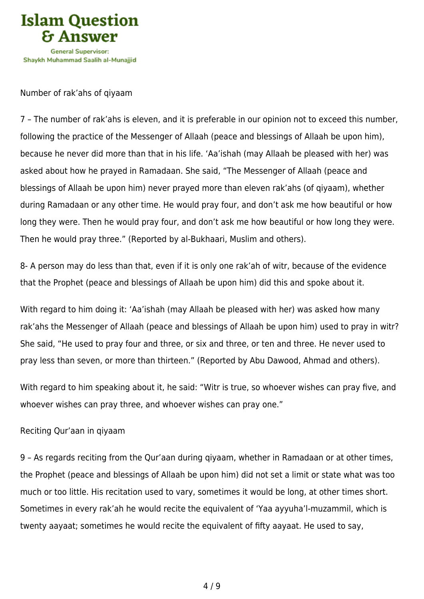

Number of rak'ahs of qiyaam

7 – The number of rak'ahs is eleven, and it is preferable in our opinion not to exceed this number, following the practice of the Messenger of Allaah (peace and blessings of Allaah be upon him), because he never did more than that in his life. 'Aa'ishah (may Allaah be pleased with her) was asked about how he prayed in Ramadaan. She said, "The Messenger of Allaah (peace and blessings of Allaah be upon him) never prayed more than eleven rak'ahs (of qiyaam), whether during Ramadaan or any other time. He would pray four, and don't ask me how beautiful or how long they were. Then he would pray four, and don't ask me how beautiful or how long they were. Then he would pray three." (Reported by al-Bukhaari, Muslim and others).

8- A person may do less than that, even if it is only one rak'ah of witr, because of the evidence that the Prophet (peace and blessings of Allaah be upon him) did this and spoke about it.

With regard to him doing it: 'Aa'ishah (may Allaah be pleased with her) was asked how many rak'ahs the Messenger of Allaah (peace and blessings of Allaah be upon him) used to pray in witr? She said, "He used to pray four and three, or six and three, or ten and three. He never used to pray less than seven, or more than thirteen." (Reported by Abu Dawood, Ahmad and others).

With regard to him speaking about it, he said: "Witr is true, so whoever wishes can pray five, and whoever wishes can pray three, and whoever wishes can pray one."

## Reciting Qur'aan in qiyaam

9 – As regards reciting from the Qur'aan during qiyaam, whether in Ramadaan or at other times, the Prophet (peace and blessings of Allaah be upon him) did not set a limit or state what was too much or too little. His recitation used to vary, sometimes it would be long, at other times short. Sometimes in every rak'ah he would recite the equivalent of 'Yaa ayyuha'l-muzammil, which is twenty aayaat; sometimes he would recite the equivalent of fifty aayaat. He used to say,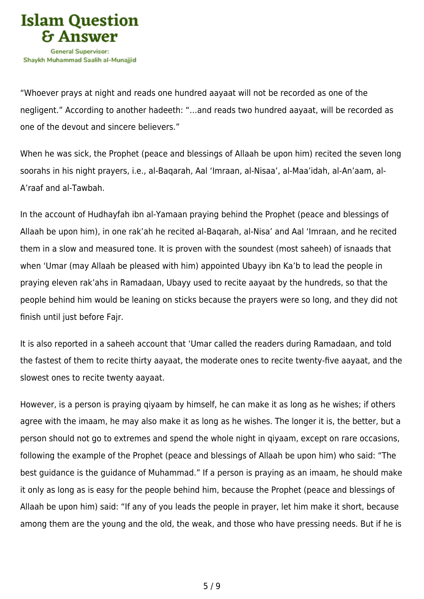

"Whoever prays at night and reads one hundred aayaat will not be recorded as one of the negligent." According to another hadeeth: "…and reads two hundred aayaat, will be recorded as one of the devout and sincere believers."

When he was sick, the Prophet (peace and blessings of Allaah be upon him) recited the seven long soorahs in his night prayers, i.e., al-Baqarah, Aal 'Imraan, al-Nisaa', al-Maa'idah, al-An'aam, al-A'raaf and al-Tawbah.

In the account of Hudhayfah ibn al-Yamaan praying behind the Prophet (peace and blessings of Allaah be upon him), in one rak'ah he recited al-Baqarah, al-Nisa' and Aal 'Imraan, and he recited them in a slow and measured tone. It is proven with the soundest (most saheeh) of isnaads that when 'Umar (may Allaah be pleased with him) appointed Ubayy ibn Ka'b to lead the people in praying eleven rak'ahs in Ramadaan, Ubayy used to recite aayaat by the hundreds, so that the people behind him would be leaning on sticks because the prayers were so long, and they did not finish until just before Fajr.

It is also reported in a saheeh account that 'Umar called the readers during Ramadaan, and told the fastest of them to recite thirty aayaat, the moderate ones to recite twenty-five aayaat, and the slowest ones to recite twenty aayaat.

However, is a person is praying qiyaam by himself, he can make it as long as he wishes; if others agree with the imaam, he may also make it as long as he wishes. The longer it is, the better, but a person should not go to extremes and spend the whole night in qiyaam, except on rare occasions, following the example of the Prophet (peace and blessings of Allaah be upon him) who said: "The best guidance is the guidance of Muhammad." If a person is praying as an imaam, he should make it only as long as is easy for the people behind him, because the Prophet (peace and blessings of Allaah be upon him) said: "If any of you leads the people in prayer, let him make it short, because among them are the young and the old, the weak, and those who have pressing needs. But if he is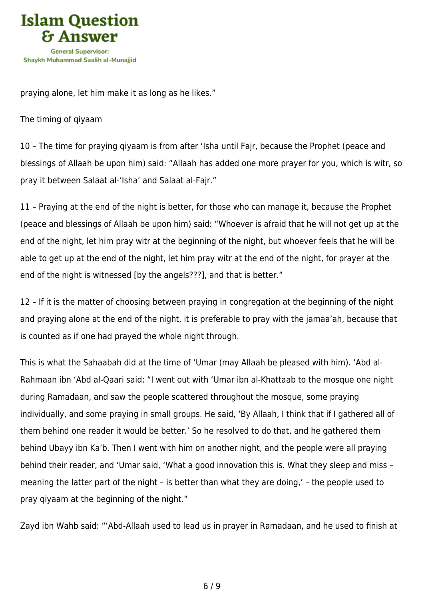

praying alone, let him make it as long as he likes."

The timing of qiyaam

10 – The time for praying qiyaam is from after 'Isha until Fajr, because the Prophet (peace and blessings of Allaah be upon him) said: "Allaah has added one more prayer for you, which is witr, so pray it between Salaat al-'Isha' and Salaat al-Fajr."

11 – Praying at the end of the night is better, for those who can manage it, because the Prophet (peace and blessings of Allaah be upon him) said: "Whoever is afraid that he will not get up at the end of the night, let him pray witr at the beginning of the night, but whoever feels that he will be able to get up at the end of the night, let him pray witr at the end of the night, for prayer at the end of the night is witnessed [by the angels???], and that is better."

12 – If it is the matter of choosing between praying in congregation at the beginning of the night and praying alone at the end of the night, it is preferable to pray with the jamaa'ah, because that is counted as if one had prayed the whole night through.

This is what the Sahaabah did at the time of 'Umar (may Allaah be pleased with him). 'Abd al-Rahmaan ibn 'Abd al-Qaari said: "I went out with 'Umar ibn al-Khattaab to the mosque one night during Ramadaan, and saw the people scattered throughout the mosque, some praying individually, and some praying in small groups. He said, 'By Allaah, I think that if I gathered all of them behind one reader it would be better.' So he resolved to do that, and he gathered them behind Ubayy ibn Ka'b. Then I went with him on another night, and the people were all praying behind their reader, and 'Umar said, 'What a good innovation this is. What they sleep and miss – meaning the latter part of the night – is better than what they are doing,' – the people used to pray qiyaam at the beginning of the night."

Zayd ibn Wahb said: "'Abd-Allaah used to lead us in prayer in Ramadaan, and he used to finish at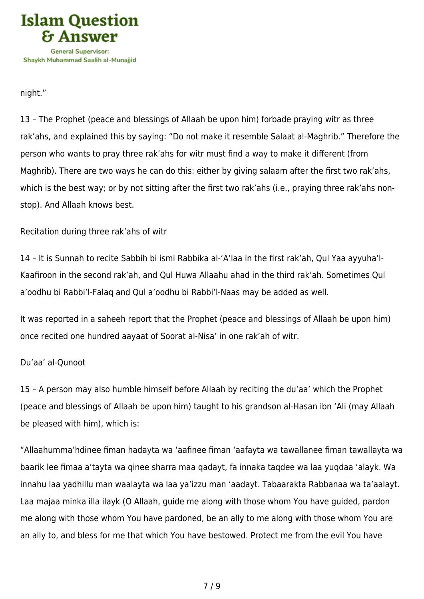

night."

13 – The Prophet (peace and blessings of Allaah be upon him) forbade praying witr as three rak'ahs, and explained this by saying: "Do not make it resemble Salaat al-Maghrib." Therefore the person who wants to pray three rak'ahs for witr must find a way to make it different (from Maghrib). There are two ways he can do this: either by giving salaam after the first two rak'ahs, which is the best way; or by not sitting after the first two rak'ahs (i.e., praying three rak'ahs nonstop). And Allaah knows best.

Recitation during three rak'ahs of witr

14 – It is Sunnah to recite Sabbih bi ismi Rabbika al-'A'laa in the first rak'ah, Qul Yaa ayyuha'l-Kaafiroon in the second rak'ah, and Qul Huwa Allaahu ahad in the third rak'ah. Sometimes Qul a'oodhu bi Rabbi'l-Falaq and Qul a'oodhu bi Rabbi'l-Naas may be added as well.

It was reported in a saheeh report that the Prophet (peace and blessings of Allaah be upon him) once recited one hundred aayaat of Soorat al-Nisa' in one rak'ah of witr.

## Du'aa' al-Qunoot

15 – A person may also humble himself before Allaah by reciting the du'aa' which the Prophet (peace and blessings of Allaah be upon him) taught to his grandson al-Hasan ibn 'Ali (may Allaah be pleased with him), which is:

"Allaahumma'hdinee fiman hadayta wa 'aafinee fiman 'aafayta wa tawallanee fiman tawallayta wa baarik lee fimaa a'tayta wa qinee sharra maa qadayt, fa innaka taqdee wa laa yuqdaa 'alayk. Wa innahu laa yadhillu man waalayta wa laa ya'izzu man 'aadayt. Tabaarakta Rabbanaa wa ta'aalayt. Laa majaa minka illa ilayk (O Allaah, guide me along with those whom You have guided, pardon me along with those whom You have pardoned, be an ally to me along with those whom You are an ally to, and bless for me that which You have bestowed. Protect me from the evil You have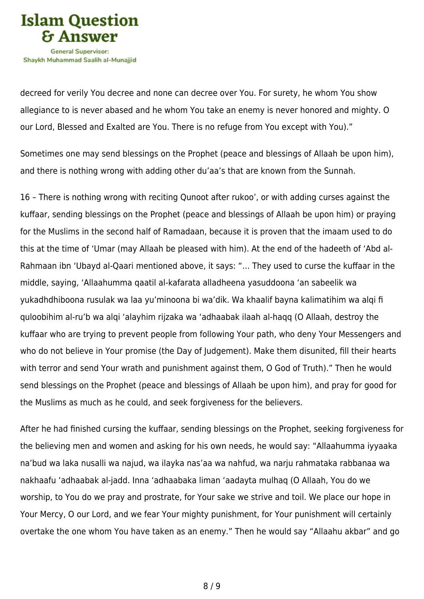

decreed for verily You decree and none can decree over You. For surety, he whom You show allegiance to is never abased and he whom You take an enemy is never honored and mighty. O our Lord, Blessed and Exalted are You. There is no refuge from You except with You)."

Sometimes one may send blessings on the Prophet (peace and blessings of Allaah be upon him), and there is nothing wrong with adding other du'aa's that are known from the Sunnah.

16 – There is nothing wrong with reciting Qunoot after rukoo', or with adding curses against the kuffaar, sending blessings on the Prophet (peace and blessings of Allaah be upon him) or praying for the Muslims in the second half of Ramadaan, because it is proven that the imaam used to do this at the time of 'Umar (may Allaah be pleased with him). At the end of the hadeeth of 'Abd al-Rahmaan ibn 'Ubayd al-Qaari mentioned above, it says: "… They used to curse the kuffaar in the middle, saying, 'Allaahumma qaatil al-kafarata alladheena yasuddoona 'an sabeelik wa yukadhdhiboona rusulak wa laa yu'minoona bi wa'dik. Wa khaalif bayna kalimatihim wa alqi fi quloobihim al-ru'b wa alqi 'alayhim rijzaka wa 'adhaabak ilaah al-haqq (O Allaah, destroy the kuffaar who are trying to prevent people from following Your path, who deny Your Messengers and who do not believe in Your promise (the Day of Judgement). Make them disunited, fill their hearts with terror and send Your wrath and punishment against them, O God of Truth)." Then he would send blessings on the Prophet (peace and blessings of Allaah be upon him), and pray for good for the Muslims as much as he could, and seek forgiveness for the believers.

After he had finished cursing the kuffaar, sending blessings on the Prophet, seeking forgiveness for the believing men and women and asking for his own needs, he would say: "Allaahumma iyyaaka na'bud wa laka nusalli wa najud, wa ilayka nas'aa wa nahfud, wa narju rahmataka rabbanaa wa nakhaafu 'adhaabak al-jadd. Inna 'adhaabaka liman 'aadayta mulhaq (O Allaah, You do we worship, to You do we pray and prostrate, for Your sake we strive and toil. We place our hope in Your Mercy, O our Lord, and we fear Your mighty punishment, for Your punishment will certainly overtake the one whom You have taken as an enemy." Then he would say "Allaahu akbar" and go